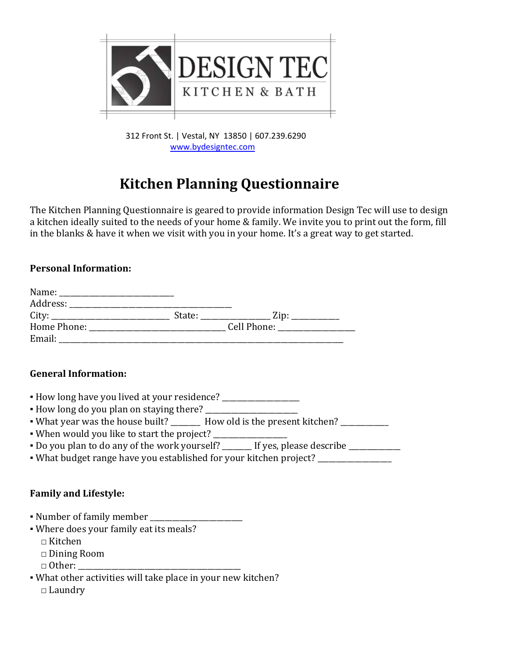

 312 Front St. | Vestal, NY 13850 | 607.239.6290 [www.bydesigntec.com](http://www.bydesigntec.com/)

## **Kitchen Planning Questionnaire**

The Kitchen Planning Questionnaire is geared to provide information Design Tec will use to design a kitchen ideally suited to the needs of your home & family. We invite you to print out the form, fill in the blanks & have it when we visit with you in your home. It's a great way to get started.

## **Personal Information:**

| Name:       |        |             |  |
|-------------|--------|-------------|--|
| Address:    |        |             |  |
| City:       | State: | Zip:        |  |
| Home Phone: |        | Cell Phone: |  |
| Email:      |        |             |  |

## **General Information:**

- **▪** How long have you lived at your residence? \_\_\_\_\_\_\_\_\_\_\_\_\_\_\_\_\_\_\_\_\_
- How long do you plan on staying there? \_\_\_\_\_\_\_\_\_\_\_\_\_\_\_\_\_\_\_\_\_\_\_\_\_
- What year was the house built? How old is the present kitchen?
- When would you like to start the project? \_\_\_\_\_\_\_\_\_\_\_\_\_\_\_\_\_\_\_\_
- $\bullet$  Do you plan to do any of the work yourself? \_\_\_\_\_\_\_ If yes, please describe \_\_\_\_\_\_\_\_\_\_\_\_
- What budget range have you established for your kitchen project?

## **Family and Lifestyle:**

- Number of family member
- Where does your family eat its meals?
	- $\sqcap$  Kitchen
	- □ Dining Room
	- $\Box$  Other:
- What other activities will take place in your new kitchen? □ Laundry